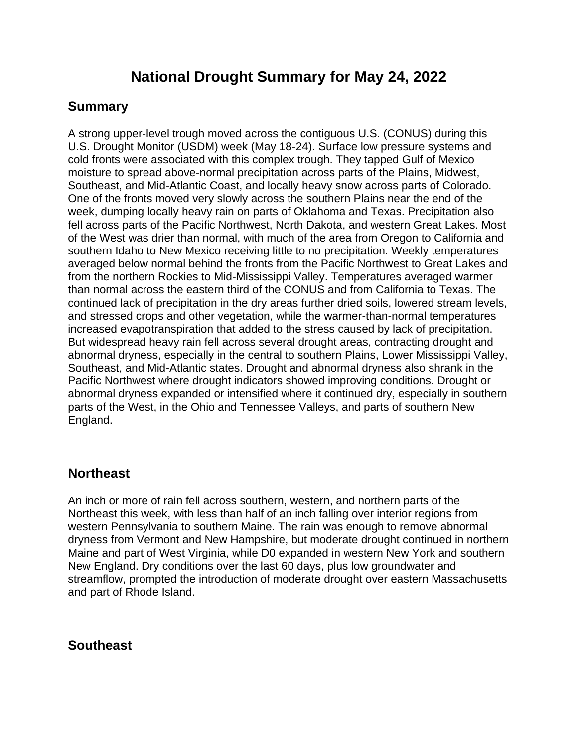# **National Drought Summary for May 24, 2022**

# **Summary**

A strong upper-level trough moved across the contiguous U.S. (CONUS) during this U.S. Drought Monitor (USDM) week (May 18-24). Surface low pressure systems and cold fronts were associated with this complex trough. They tapped Gulf of Mexico moisture to spread above-normal precipitation across parts of the Plains, Midwest, Southeast, and Mid-Atlantic Coast, and locally heavy snow across parts of Colorado. One of the fronts moved very slowly across the southern Plains near the end of the week, dumping locally heavy rain on parts of Oklahoma and Texas. Precipitation also fell across parts of the Pacific Northwest, North Dakota, and western Great Lakes. Most of the West was drier than normal, with much of the area from Oregon to California and southern Idaho to New Mexico receiving little to no precipitation. Weekly temperatures averaged below normal behind the fronts from the Pacific Northwest to Great Lakes and from the northern Rockies to Mid-Mississippi Valley. Temperatures averaged warmer than normal across the eastern third of the CONUS and from California to Texas. The continued lack of precipitation in the dry areas further dried soils, lowered stream levels, and stressed crops and other vegetation, while the warmer-than-normal temperatures increased evapotranspiration that added to the stress caused by lack of precipitation. But widespread heavy rain fell across several drought areas, contracting drought and abnormal dryness, especially in the central to southern Plains, Lower Mississippi Valley, Southeast, and Mid-Atlantic states. Drought and abnormal dryness also shrank in the Pacific Northwest where drought indicators showed improving conditions. Drought or abnormal dryness expanded or intensified where it continued dry, especially in southern parts of the West, in the Ohio and Tennessee Valleys, and parts of southern New England.

# **Northeast**

An inch or more of rain fell across southern, western, and northern parts of the Northeast this week, with less than half of an inch falling over interior regions from western Pennsylvania to southern Maine. The rain was enough to remove abnormal dryness from Vermont and New Hampshire, but moderate drought continued in northern Maine and part of West Virginia, while D0 expanded in western New York and southern New England. Dry conditions over the last 60 days, plus low groundwater and streamflow, prompted the introduction of moderate drought over eastern Massachusetts and part of Rhode Island.

# **Southeast**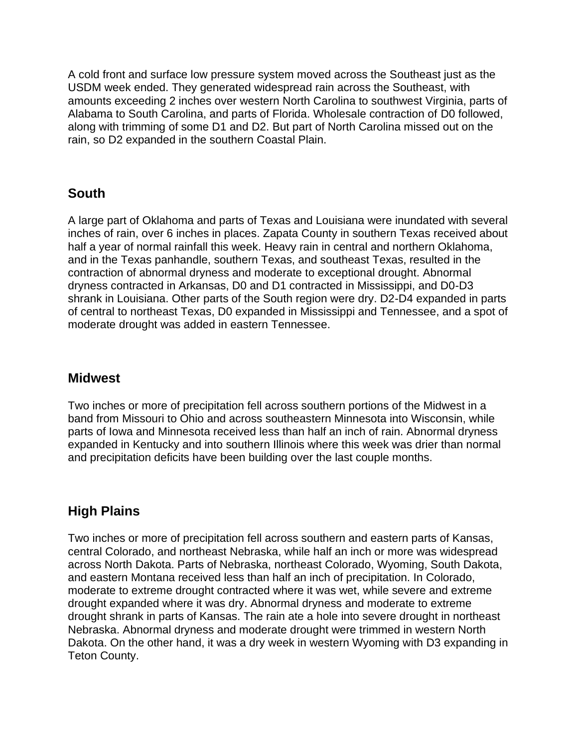A cold front and surface low pressure system moved across the Southeast just as the USDM week ended. They generated widespread rain across the Southeast, with amounts exceeding 2 inches over western North Carolina to southwest Virginia, parts of Alabama to South Carolina, and parts of Florida. Wholesale contraction of D0 followed, along with trimming of some D1 and D2. But part of North Carolina missed out on the rain, so D2 expanded in the southern Coastal Plain.

# **South**

A large part of Oklahoma and parts of Texas and Louisiana were inundated with several inches of rain, over 6 inches in places. Zapata County in southern Texas received about half a year of normal rainfall this week. Heavy rain in central and northern Oklahoma, and in the Texas panhandle, southern Texas, and southeast Texas, resulted in the contraction of abnormal dryness and moderate to exceptional drought. Abnormal dryness contracted in Arkansas, D0 and D1 contracted in Mississippi, and D0-D3 shrank in Louisiana. Other parts of the South region were dry. D2-D4 expanded in parts of central to northeast Texas, D0 expanded in Mississippi and Tennessee, and a spot of moderate drought was added in eastern Tennessee.

#### **Midwest**

Two inches or more of precipitation fell across southern portions of the Midwest in a band from Missouri to Ohio and across southeastern Minnesota into Wisconsin, while parts of Iowa and Minnesota received less than half an inch of rain. Abnormal dryness expanded in Kentucky and into southern Illinois where this week was drier than normal and precipitation deficits have been building over the last couple months.

# **High Plains**

Two inches or more of precipitation fell across southern and eastern parts of Kansas, central Colorado, and northeast Nebraska, while half an inch or more was widespread across North Dakota. Parts of Nebraska, northeast Colorado, Wyoming, South Dakota, and eastern Montana received less than half an inch of precipitation. In Colorado, moderate to extreme drought contracted where it was wet, while severe and extreme drought expanded where it was dry. Abnormal dryness and moderate to extreme drought shrank in parts of Kansas. The rain ate a hole into severe drought in northeast Nebraska. Abnormal dryness and moderate drought were trimmed in western North Dakota. On the other hand, it was a dry week in western Wyoming with D3 expanding in Teton County.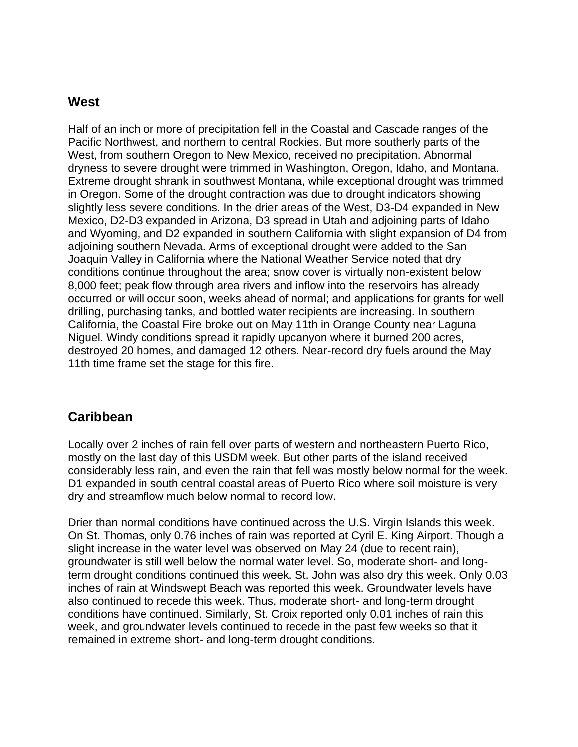#### **West**

Half of an inch or more of precipitation fell in the Coastal and Cascade ranges of the Pacific Northwest, and northern to central Rockies. But more southerly parts of the West, from southern Oregon to New Mexico, received no precipitation. Abnormal dryness to severe drought were trimmed in Washington, Oregon, Idaho, and Montana. Extreme drought shrank in southwest Montana, while exceptional drought was trimmed in Oregon. Some of the drought contraction was due to drought indicators showing slightly less severe conditions. In the drier areas of the West, D3-D4 expanded in New Mexico, D2-D3 expanded in Arizona, D3 spread in Utah and adjoining parts of Idaho and Wyoming, and D2 expanded in southern California with slight expansion of D4 from adjoining southern Nevada. Arms of exceptional drought were added to the San Joaquin Valley in California where the National Weather Service noted that dry conditions continue throughout the area; snow cover is virtually non-existent below 8,000 feet; peak flow through area rivers and inflow into the reservoirs has already occurred or will occur soon, weeks ahead of normal; and applications for grants for well drilling, purchasing tanks, and bottled water recipients are increasing. In southern California, the Coastal Fire broke out on May 11th in Orange County near Laguna Niguel. Windy conditions spread it rapidly upcanyon where it burned 200 acres, destroyed 20 homes, and damaged 12 others. Near-record dry fuels around the May 11th time frame set the stage for this fire.

# **Caribbean**

Locally over 2 inches of rain fell over parts of western and northeastern Puerto Rico, mostly on the last day of this USDM week. But other parts of the island received considerably less rain, and even the rain that fell was mostly below normal for the week. D1 expanded in south central coastal areas of Puerto Rico where soil moisture is very dry and streamflow much below normal to record low.

Drier than normal conditions have continued across the U.S. Virgin Islands this week. On St. Thomas, only 0.76 inches of rain was reported at Cyril E. King Airport. Though a slight increase in the water level was observed on May 24 (due to recent rain), groundwater is still well below the normal water level. So, moderate short- and longterm drought conditions continued this week. St. John was also dry this week. Only 0.03 inches of rain at Windswept Beach was reported this week. Groundwater levels have also continued to recede this week. Thus, moderate short- and long-term drought conditions have continued. Similarly, St. Croix reported only 0.01 inches of rain this week, and groundwater levels continued to recede in the past few weeks so that it remained in extreme short- and long-term drought conditions.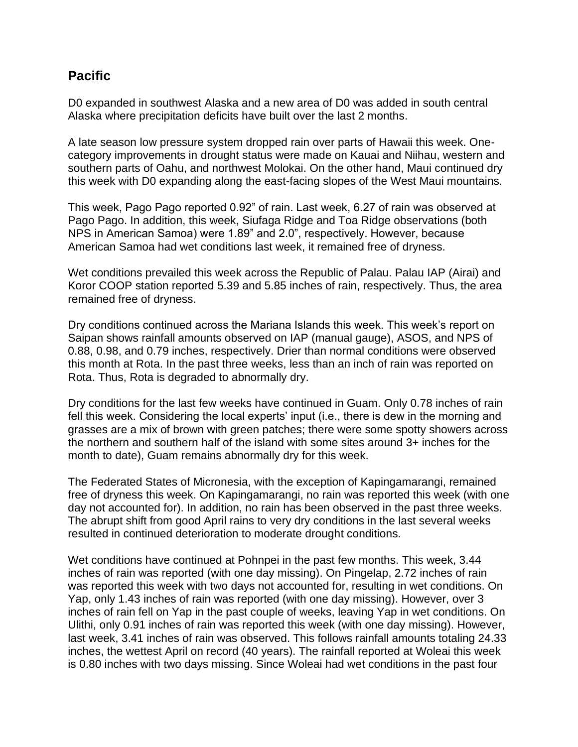#### **Pacific**

D0 expanded in southwest Alaska and a new area of D0 was added in south central Alaska where precipitation deficits have built over the last 2 months.

A late season low pressure system dropped rain over parts of Hawaii this week. Onecategory improvements in drought status were made on Kauai and Niihau, western and southern parts of Oahu, and northwest Molokai. On the other hand, Maui continued dry this week with D0 expanding along the east-facing slopes of the West Maui mountains.

This week, Pago Pago reported 0.92" of rain. Last week, 6.27 of rain was observed at Pago Pago. In addition, this week, Siufaga Ridge and Toa Ridge observations (both NPS in American Samoa) were 1.89" and 2.0", respectively. However, because American Samoa had wet conditions last week, it remained free of dryness.

Wet conditions prevailed this week across the Republic of Palau. Palau IAP (Airai) and Koror COOP station reported 5.39 and 5.85 inches of rain, respectively. Thus, the area remained free of dryness.

Dry conditions continued across the Mariana Islands this week. This week's report on Saipan shows rainfall amounts observed on IAP (manual gauge), ASOS, and NPS of 0.88, 0.98, and 0.79 inches, respectively. Drier than normal conditions were observed this month at Rota. In the past three weeks, less than an inch of rain was reported on Rota. Thus, Rota is degraded to abnormally dry.

Dry conditions for the last few weeks have continued in Guam. Only 0.78 inches of rain fell this week. Considering the local experts' input (i.e., there is dew in the morning and grasses are a mix of brown with green patches; there were some spotty showers across the northern and southern half of the island with some sites around 3+ inches for the month to date), Guam remains abnormally dry for this week.

The Federated States of Micronesia, with the exception of Kapingamarangi, remained free of dryness this week. On Kapingamarangi, no rain was reported this week (with one day not accounted for). In addition, no rain has been observed in the past three weeks. The abrupt shift from good April rains to very dry conditions in the last several weeks resulted in continued deterioration to moderate drought conditions.

Wet conditions have continued at Pohnpei in the past few months. This week, 3.44 inches of rain was reported (with one day missing). On Pingelap, 2.72 inches of rain was reported this week with two days not accounted for, resulting in wet conditions. On Yap, only 1.43 inches of rain was reported (with one day missing). However, over 3 inches of rain fell on Yap in the past couple of weeks, leaving Yap in wet conditions. On Ulithi, only 0.91 inches of rain was reported this week (with one day missing). However, last week, 3.41 inches of rain was observed. This follows rainfall amounts totaling 24.33 inches, the wettest April on record (40 years). The rainfall reported at Woleai this week is 0.80 inches with two days missing. Since Woleai had wet conditions in the past four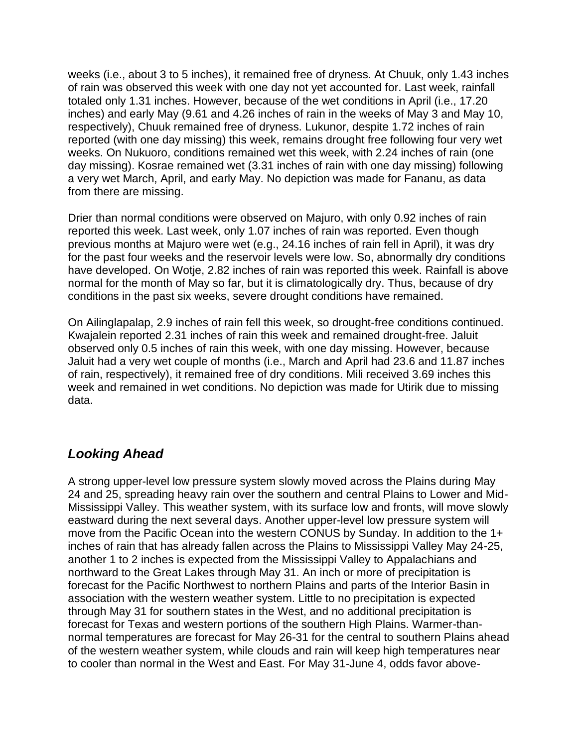weeks (i.e., about 3 to 5 inches), it remained free of dryness. At Chuuk, only 1.43 inches of rain was observed this week with one day not yet accounted for. Last week, rainfall totaled only 1.31 inches. However, because of the wet conditions in April (i.e., 17.20 inches) and early May (9.61 and 4.26 inches of rain in the weeks of May 3 and May 10, respectively), Chuuk remained free of dryness. Lukunor, despite 1.72 inches of rain reported (with one day missing) this week, remains drought free following four very wet weeks. On Nukuoro, conditions remained wet this week, with 2.24 inches of rain (one day missing). Kosrae remained wet (3.31 inches of rain with one day missing) following a very wet March, April, and early May. No depiction was made for Fananu, as data from there are missing.

Drier than normal conditions were observed on Majuro, with only 0.92 inches of rain reported this week. Last week, only 1.07 inches of rain was reported. Even though previous months at Majuro were wet (e.g., 24.16 inches of rain fell in April), it was dry for the past four weeks and the reservoir levels were low. So, abnormally dry conditions have developed. On Wotje, 2.82 inches of rain was reported this week. Rainfall is above normal for the month of May so far, but it is climatologically dry. Thus, because of dry conditions in the past six weeks, severe drought conditions have remained.

On Ailinglapalap, 2.9 inches of rain fell this week, so drought-free conditions continued. Kwajalein reported 2.31 inches of rain this week and remained drought-free. Jaluit observed only 0.5 inches of rain this week, with one day missing. However, because Jaluit had a very wet couple of months (i.e., March and April had 23.6 and 11.87 inches of rain, respectively), it remained free of dry conditions. Mili received 3.69 inches this week and remained in wet conditions. No depiction was made for Utirik due to missing data.

# *Looking Ahead*

A strong upper-level low pressure system slowly moved across the Plains during May 24 and 25, spreading heavy rain over the southern and central Plains to Lower and Mid-Mississippi Valley. This weather system, with its surface low and fronts, will move slowly eastward during the next several days. Another upper-level low pressure system will move from the Pacific Ocean into the western CONUS by Sunday. In addition to the 1+ inches of rain that has already fallen across the Plains to Mississippi Valley May 24-25, another 1 to 2 inches is expected from the Mississippi Valley to Appalachians and northward to the Great Lakes through May 31. An inch or more of precipitation is forecast for the Pacific Northwest to northern Plains and parts of the Interior Basin in association with the western weather system. Little to no precipitation is expected through May 31 for southern states in the West, and no additional precipitation is forecast for Texas and western portions of the southern High Plains. Warmer-thannormal temperatures are forecast for May 26-31 for the central to southern Plains ahead of the western weather system, while clouds and rain will keep high temperatures near to cooler than normal in the West and East. For May 31-June 4, odds favor above